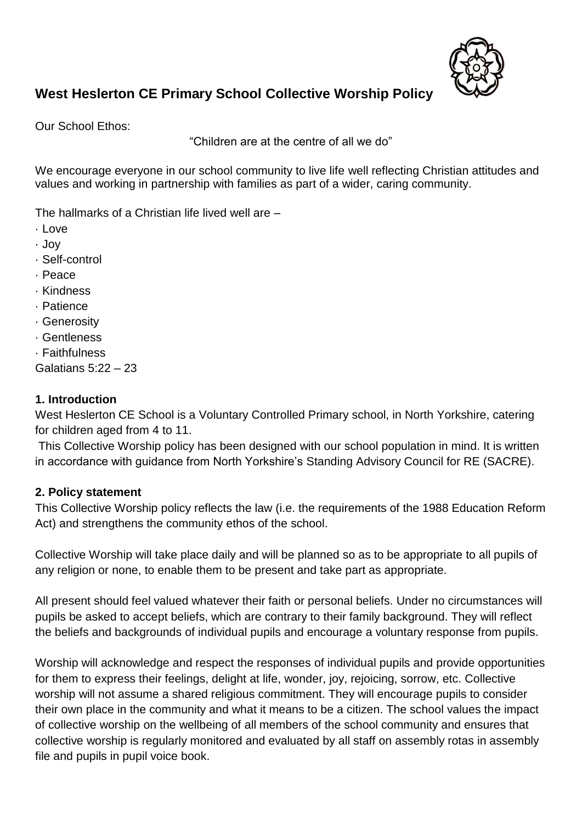

# **West Heslerton CE Primary School Collective Worship Policy**

Our School Ethos:

"Children are at the centre of all we do"

We encourage everyone in our school community to live life well reflecting Christian attitudes and values and working in partnership with families as part of a wider, caring community.

The hallmarks of a Christian life lived well are –

- · Love
- · Joy
- · Self-control
- · Peace
- · Kindness
- · Patience
- · Generosity
- · Gentleness
- · Faithfulness

Galatians 5:22 – 23

## **1. Introduction**

West Heslerton CE School is a Voluntary Controlled Primary school, in North Yorkshire, catering for children aged from 4 to 11.

This Collective Worship policy has been designed with our school population in mind. It is written in accordance with guidance from North Yorkshire's Standing Advisory Council for RE (SACRE).

#### **2. Policy statement**

This Collective Worship policy reflects the law (i.e. the requirements of the 1988 Education Reform Act) and strengthens the community ethos of the school.

Collective Worship will take place daily and will be planned so as to be appropriate to all pupils of any religion or none, to enable them to be present and take part as appropriate.

All present should feel valued whatever their faith or personal beliefs. Under no circumstances will pupils be asked to accept beliefs, which are contrary to their family background. They will reflect the beliefs and backgrounds of individual pupils and encourage a voluntary response from pupils.

Worship will acknowledge and respect the responses of individual pupils and provide opportunities for them to express their feelings, delight at life, wonder, joy, rejoicing, sorrow, etc. Collective worship will not assume a shared religious commitment. They will encourage pupils to consider their own place in the community and what it means to be a citizen. The school values the impact of collective worship on the wellbeing of all members of the school community and ensures that collective worship is regularly monitored and evaluated by all staff on assembly rotas in assembly file and pupils in pupil voice book.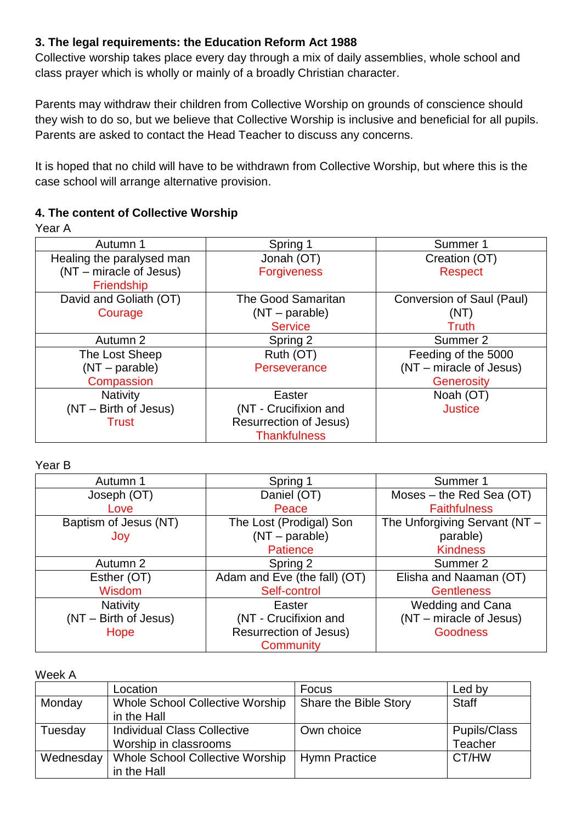## **3. The legal requirements: the Education Reform Act 1988**

Collective worship takes place every day through a mix of daily assemblies, whole school and class prayer which is wholly or mainly of a broadly Christian character.

Parents may withdraw their children from Collective Worship on grounds of conscience should they wish to do so, but we believe that Collective Worship is inclusive and beneficial for all pupils. Parents are asked to contact the Head Teacher to discuss any concerns.

It is hoped that no child will have to be withdrawn from Collective Worship, but where this is the case school will arrange alternative provision.

## **4. The content of Collective Worship**

Year A

| Autumn 1                  | Spring 1                      | Summer 1                  |
|---------------------------|-------------------------------|---------------------------|
| Healing the paralysed man | Jonah (OT)                    | Creation (OT)             |
| (NT – miracle of Jesus)   | <b>Forgiveness</b>            | <b>Respect</b>            |
| Friendship                |                               |                           |
| David and Goliath (OT)    | <b>The Good Samaritan</b>     | Conversion of Saul (Paul) |
| Courage                   | $(NT - parable)$              | (NT)                      |
|                           | <b>Service</b>                | Truth                     |
| Autumn 2                  | Spring 2                      | Summer 2                  |
| The Lost Sheep            | Ruth (OT)                     | Feeding of the 5000       |
| $(NT - parable)$          | Perseverance                  | (NT – miracle of Jesus)   |
| Compassion                |                               | <b>Generosity</b>         |
| <b>Nativity</b>           | Easter                        | Noah (OT)                 |
| (NT - Birth of Jesus)     | (NT - Crucifixion and         | <b>Justice</b>            |
| <b>Trust</b>              | <b>Resurrection of Jesus)</b> |                           |
|                           | <b>Thankfulness</b>           |                           |

Year B

| Autumn 1              | Spring 1                      | Summer 1                      |  |
|-----------------------|-------------------------------|-------------------------------|--|
| Joseph (OT)           | Daniel (OT)                   | Moses – the Red Sea $(OT)$    |  |
| Love                  | Peace                         | <b>Faithfulness</b>           |  |
| Baptism of Jesus (NT) | The Lost (Prodigal) Son       | The Unforgiving Servant (NT - |  |
| Joy                   | $(NT - parable)$              | parable)                      |  |
|                       | <b>Patience</b>               | <b>Kindness</b>               |  |
| Autumn 2              | Spring 2                      | Summer 2                      |  |
| Esther (OT)           | Adam and Eve (the fall) (OT)  | Elisha and Naaman (OT)        |  |
| Wisdom                | Self-control                  | <b>Gentleness</b>             |  |
| <b>Nativity</b>       | Easter                        | <b>Wedding and Cana</b>       |  |
| (NT - Birth of Jesus) | (NT - Crucifixion and         | (NT - miracle of Jesus)       |  |
| Hope                  | <b>Resurrection of Jesus)</b> | <b>Goodness</b>               |  |
|                       | Community                     |                               |  |

#### Week A

|           | Location                               | Focus                 | Led by              |
|-----------|----------------------------------------|-----------------------|---------------------|
| Monday    | <b>Whole School Collective Worship</b> | Share the Bible Story | <b>Staff</b>        |
|           | in the Hall                            |                       |                     |
| Tuesday   | <b>Individual Class Collective</b>     | Own choice            | <b>Pupils/Class</b> |
|           | Worship in classrooms                  |                       | <b>Teacher</b>      |
| Wednesday | <b>Whole School Collective Worship</b> | <b>Hymn Practice</b>  | CT/HW               |
|           | in the Hall                            |                       |                     |